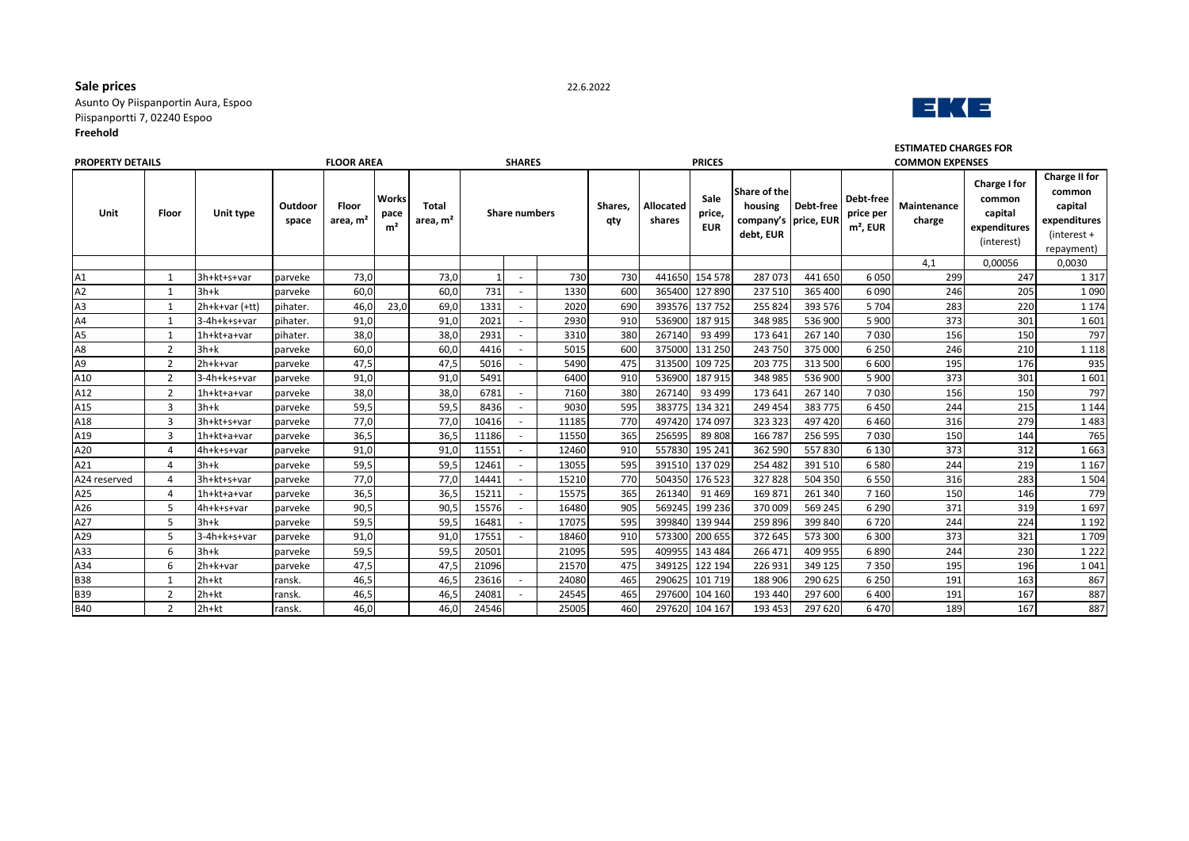## **Sale prices**

Asunto Oy Piispanportin Aura, Espoo Piispanportti 7, 02240 Espoo **Freehold**

| <b>PROPERTY DETAILS</b> | <b>FLOOR AREA</b> |                |                  |                               | <b>SHARES</b>                          |                               |                      |        | <b>PRICES</b> |                |                     | <b>COMMON EXPENSES</b>              |                                                              |           |                                      |                       |                                                                 |                                                                                   |
|-------------------------|-------------------|----------------|------------------|-------------------------------|----------------------------------------|-------------------------------|----------------------|--------|---------------|----------------|---------------------|-------------------------------------|--------------------------------------------------------------|-----------|--------------------------------------|-----------------------|-----------------------------------------------------------------|-----------------------------------------------------------------------------------|
| Unit                    | Floor             | Unit type      | Outdoor<br>space | Floor<br>area, m <sup>2</sup> | <b>Works</b><br>pace<br>m <sup>2</sup> | Total<br>area, m <sup>2</sup> | <b>Share numbers</b> |        |               | Shares,<br>qty | Allocated<br>shares | <b>Sale</b><br>price,<br><b>EUR</b> | Share of the<br>housing<br>company's price, EUR<br>debt, EUR | Debt-free | Debt-free<br>price per<br>$m2$ , EUR | Maintenance<br>charge | Charge I for<br>common<br>capital<br>expenditures<br>(interest) | Charge II for<br>common<br>capital<br>expenditures<br>$(interest +$<br>repayment) |
|                         |                   |                |                  |                               |                                        |                               |                      |        |               |                |                     |                                     |                                                              |           |                                      | 4,1                   | 0.00056                                                         | 0,0030                                                                            |
| A1                      | 1                 | 3h+kt+s+var    | parveke          | 73,0                          |                                        | 73,0                          |                      | $\sim$ | 730           | 730            |                     | 441650 154 578                      | 287073                                                       | 441 650   | 6050                                 | 299                   | 247                                                             | 1 3 1 7                                                                           |
| A2                      | $\mathbf{1}$      | $3h+k$         | parveke          | 60,0                          |                                        | 60,0                          | 731                  |        | 1330          | 600            |                     | 365400 127 890                      | 237 510                                                      | 365 400   | 6090                                 | 246                   | 205                                                             | 1 0 9 0                                                                           |
| A <sub>3</sub>          | 1                 | 2h+k+var (+tt) | pihater.         | 46,0                          | 23,0                                   | 69,0                          | 1331                 |        | 2020          | 690            |                     | 393576 137 752                      | 255 824                                                      | 393 576   | 5 704                                | 283                   | 220                                                             | 1 1 7 4                                                                           |
| A4                      | 1                 | 3-4h+k+s+var   | pihater.         | 91,0                          |                                        | 91,0                          | 2021                 |        | 2930          | 910            |                     | 536900 187 915                      | 348 985                                                      | 536 900   | 5 9 0 0                              | 373                   | 301                                                             | 1601                                                                              |
| A <sub>5</sub>          | 1                 | 1h+kt+a+var    | pihater.         | 38,0                          |                                        | 38,0                          | 2931                 |        | 3310          | 380            | 267140              | 93 499                              | 173 641                                                      | 267 140   | 7030                                 | 156                   | 150                                                             | 797                                                                               |
| A8                      | $\overline{2}$    | $3h+k$         | parveke          | 60,0                          |                                        | 60,0                          | 4416                 |        | 5015          | 600            |                     | 375000 131 250                      | 243 750                                                      | 375 000   | 6 2 5 0                              | 246                   | 210                                                             | 1 1 1 8                                                                           |
| A9                      | $\overline{2}$    | 2h+k+var       | parveke          | 47,5                          |                                        | 47,5                          | 5016                 |        | 5490          | 475            |                     | 313500 109 725                      | 203 775                                                      | 313 500   | 6 600                                | 195                   | 176                                                             | 935                                                                               |
| A10                     | $\overline{2}$    | 3-4h+k+s+var   | parveke          | 91,0                          |                                        | 91,0                          | 5491                 |        | 6400          | 910            |                     | 536900 187 915                      | 348 985                                                      | 536 900   | 5 9 0 0                              | 373                   | 301                                                             | 1601                                                                              |
| A12                     | $\overline{2}$    | 1h+kt+a+var    | parveke          | 38,0                          |                                        | 38,0                          | 6781                 |        | 7160          | 380            | 267140              | 93 499                              | 173 641                                                      | 267 140   | 7030                                 | 156                   | 150                                                             | 797                                                                               |
| A15                     | 3                 | $3h+k$         | parveke          | 59,5                          |                                        | 59,5                          | 8436                 |        | 9030          | 595            | 383775              | 134 321                             | 249 454                                                      | 383775    | 6450                                 | 244                   | 215                                                             | 1 1 4 4                                                                           |
| A18                     | $\overline{3}$    | 3h+kt+s+var    | parveke          | 77,0                          |                                        | 77,0                          | 10416                |        | 11185         | 770            |                     | 497420 174 097                      | 323 323                                                      | 497 420   | 6460                                 | 316                   | 279                                                             | 1483                                                                              |
| A19                     | 3                 | 1h+kt+a+var    | parveke          | 36,5                          |                                        | 36,5                          | 11186                |        | 11550         | 365            | 256595              | 89808                               | 166 787                                                      | 256 595   | 7030                                 | 150                   | 144                                                             | 765                                                                               |
| A20                     | 4                 | 4h+k+s+var     | parveke          | 91,0                          |                                        | 91,0                          | 11551                |        | 12460         | 910            | 557830              | 195 241                             | 362 590                                                      | 557830    | 6 1 3 0                              | 373                   | 312                                                             | 1663                                                                              |
| A21                     | $\overline{4}$    | $3h+k$         | parveke          | 59,5                          |                                        | 59,5                          | 12461                |        | 13055         | 595            |                     | 391510 137 029                      | 254 482                                                      | 391 510   | 6580                                 | 244                   | 219                                                             | 1 1 6 7                                                                           |
| A24 reserved            | 4                 | 3h+kt+s+var    | parveke          | 77,0                          |                                        | 77,0                          | 14441                |        | 15210         | 770            |                     | 504350 176 523                      | 327828                                                       | 504 350   | 6550                                 | 316                   | 283                                                             | 1504                                                                              |
| A25                     | 4                 | 1h+kt+a+var    | parveke          | 36,5                          |                                        | 36,5                          | 15211                |        | 15575         | 365            | 261340              | 91 4 69                             | 169871                                                       | 261 340   | 7 1 6 0                              | 150                   | 146                                                             | 779                                                                               |
| A26                     | 5                 | 4h+k+s+var     | parveke          | 90,5                          |                                        | 90,5                          | 15576                |        | 16480         | 905            | 569245              | 199 236                             | 370 009                                                      | 569 245   | 6 2 9 0                              | 371                   | 319                                                             | 1697                                                                              |
| A27                     | 5                 | $3h+k$         | parveke          | 59,5                          |                                        | 59,5                          | 16481                |        | 17075         | 595            |                     | 399840 139 944                      | 259 896                                                      | 399 840   | 6720                                 | 244                   | 224                                                             | 1 1 9 2                                                                           |
| A29                     | 5                 | 3-4h+k+s+var   | parveke          | 91,0                          |                                        | 91,0                          | 17551                |        | 18460         | 910            | 573300              | 200 655                             | 372 645                                                      | 573 300   | 6 300                                | 373                   | 321                                                             | 1709                                                                              |
| A33                     | 6                 | $3h+k$         | parveke          | 59,5                          |                                        | 59,5                          | 20501                |        | 21095         | 595            |                     | 409955 143 484                      | 266 471                                                      | 409 955   | 6890                                 | 244                   | 230                                                             | 1 2 2 2                                                                           |
| A34                     | 6                 | 2h+k+var       | parveke          | 47,5                          |                                        | 47,5                          | 21096                |        | 21570         | 475            |                     | 349125 122 194                      | 226 931                                                      | 349 125   | 7350                                 | 195                   | 196                                                             | 1041                                                                              |
| <b>B38</b>              | $\overline{1}$    | $2h+kt$        | ransk.           | 46,5                          |                                        | 46,5                          | 23616                |        | 24080         | 465            |                     | 290625 101 719                      | 188 906                                                      | 290 625   | 6 2 5 0                              | 191                   | 163                                                             | 867                                                                               |
| <b>B39</b>              | $\overline{2}$    | $2h+kt$        | ransk.           | 46,5                          |                                        | 46,5                          | 24081                |        | 24545         | 465            |                     | 297600 104 160                      | 193 440                                                      | 297 600   | 6400                                 | 191                   | 167                                                             | 887                                                                               |
| <b>B40</b>              | $\overline{2}$    | $2h+kt$        | ransk.           | 46,0                          |                                        | 46,0                          | 24546                |        | 25005         | 460            |                     | 297620 104 167                      | 193 453                                                      | 297 620   | 6470                                 | 189                   | 167                                                             | 887                                                                               |





**ESTIMATED CHARGES FOR**